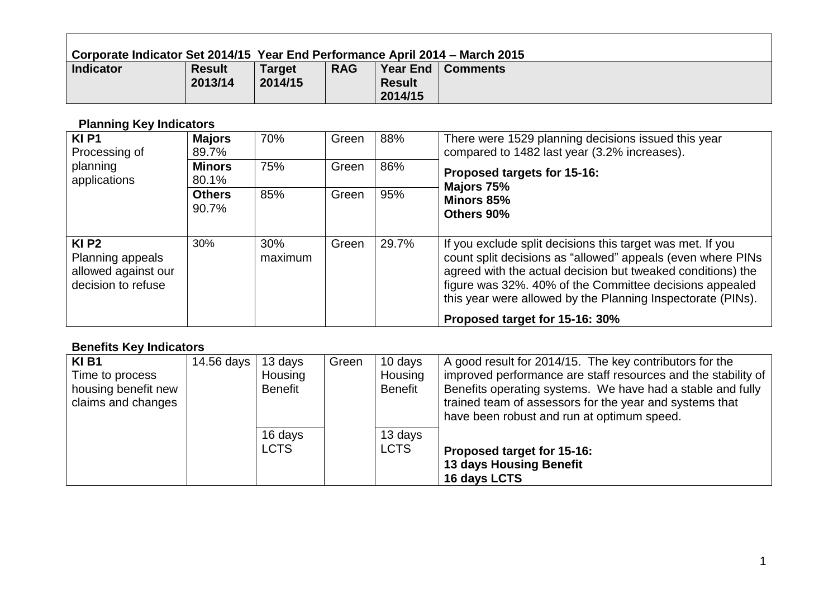| Corporate Indicator Set 2014/15  Year End Performance April 2014 – March 2015 |                          |                          |            |                          |                     |  |  |  |
|-------------------------------------------------------------------------------|--------------------------|--------------------------|------------|--------------------------|---------------------|--|--|--|
| <b>Indicator</b>                                                              | <b>Result</b><br>2013/14 | <b>Target</b><br>2014/15 | <b>RAG</b> | <b>Result</b><br>2014/15 | Year End   Comments |  |  |  |

# **Planning Key Indicators**

 $\blacksquare$ 

| <b>KIP1</b><br>Processing of                                                      | <b>Majors</b><br>89.7% | 70%            | Green | 88%   | There were 1529 planning decisions issued this year<br>compared to 1482 last year (3.2% increases).                                                                                                                                                                                                                |
|-----------------------------------------------------------------------------------|------------------------|----------------|-------|-------|--------------------------------------------------------------------------------------------------------------------------------------------------------------------------------------------------------------------------------------------------------------------------------------------------------------------|
| planning<br>applications                                                          | <b>Minors</b><br>80.1% | 75%            | Green | 86%   | Proposed targets for 15-16:                                                                                                                                                                                                                                                                                        |
|                                                                                   | <b>Others</b><br>90.7% | 85%            | Green | 95%   | Majors 75%<br>Minors 85%<br>Others 90%                                                                                                                                                                                                                                                                             |
| KI <sub>P2</sub><br>Planning appeals<br>allowed against our<br>decision to refuse | 30%                    | 30%<br>maximum | Green | 29.7% | If you exclude split decisions this target was met. If you<br>count split decisions as "allowed" appeals (even where PINs<br>agreed with the actual decision but tweaked conditions) the<br>figure was 32%. 40% of the Committee decisions appealed<br>this year were allowed by the Planning Inspectorate (PINs). |
|                                                                                   |                        |                |       |       | Proposed target for 15-16: 30%                                                                                                                                                                                                                                                                                     |

#### **Benefits Key Indicators**

| <b>KIB1</b>         | 14.56 days | 13 days     | Green | 10 days        | A good result for 2014/15. The key contributors for the       |
|---------------------|------------|-------------|-------|----------------|---------------------------------------------------------------|
| Time to process     |            | Housing     |       | Housing        | improved performance are staff resources and the stability of |
| housing benefit new |            | Benefit     |       | <b>Benefit</b> | Benefits operating systems. We have had a stable and fully    |
| claims and changes  |            |             |       |                | trained team of assessors for the year and systems that       |
|                     |            |             |       |                | have been robust and run at optimum speed.                    |
|                     |            | 16 days     |       | 13 days        |                                                               |
|                     |            | <b>LCTS</b> |       | <b>LCTS</b>    | Proposed target for 15-16:                                    |
|                     |            |             |       |                | <b>13 days Housing Benefit</b>                                |
|                     |            |             |       |                | 16 days LCTS                                                  |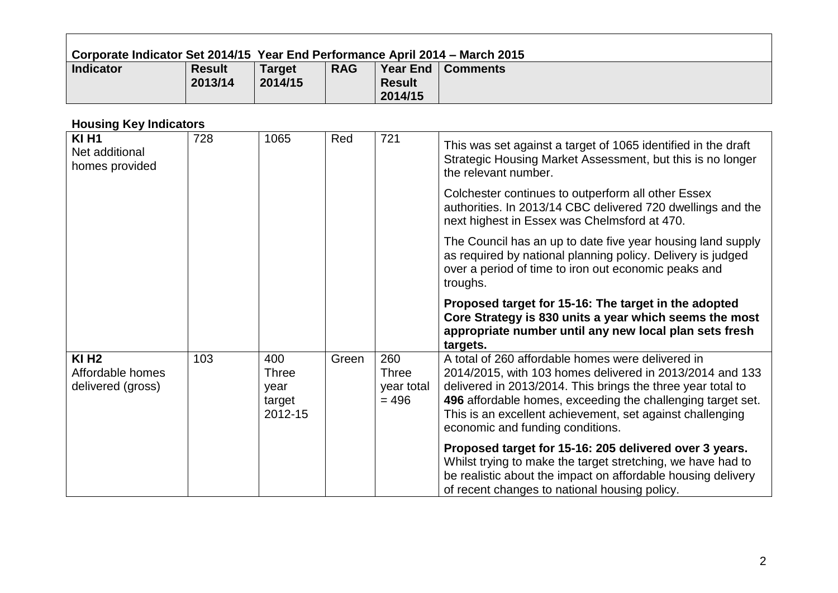|                                                              | Corporate Indicator Set 2014/15 Year End Performance April 2014 - March 2015 |                                           |            |                                              |                                                                                                                                                                                                                                                                                                                                              |  |  |  |
|--------------------------------------------------------------|------------------------------------------------------------------------------|-------------------------------------------|------------|----------------------------------------------|----------------------------------------------------------------------------------------------------------------------------------------------------------------------------------------------------------------------------------------------------------------------------------------------------------------------------------------------|--|--|--|
| <b>Indicator</b>                                             | <b>Result</b><br>2013/14                                                     | <b>Target</b><br>2014/15                  | <b>RAG</b> | <b>Year End</b><br><b>Result</b><br>2014/15  | <b>Comments</b>                                                                                                                                                                                                                                                                                                                              |  |  |  |
| <b>Housing Key Indicators</b>                                |                                                                              |                                           |            |                                              |                                                                                                                                                                                                                                                                                                                                              |  |  |  |
| <b>KI H1</b><br>Net additional<br>homes provided             | 728                                                                          | 1065                                      | Red        | 721                                          | This was set against a target of 1065 identified in the draft<br>Strategic Housing Market Assessment, but this is no longer<br>the relevant number.                                                                                                                                                                                          |  |  |  |
|                                                              |                                                                              |                                           |            |                                              | Colchester continues to outperform all other Essex<br>authorities. In 2013/14 CBC delivered 720 dwellings and the<br>next highest in Essex was Chelmsford at 470.                                                                                                                                                                            |  |  |  |
|                                                              |                                                                              |                                           |            |                                              | The Council has an up to date five year housing land supply<br>as required by national planning policy. Delivery is judged<br>over a period of time to iron out economic peaks and<br>troughs.                                                                                                                                               |  |  |  |
|                                                              |                                                                              |                                           |            |                                              | Proposed target for 15-16: The target in the adopted<br>Core Strategy is 830 units a year which seems the most<br>appropriate number until any new local plan sets fresh<br>targets.                                                                                                                                                         |  |  |  |
| $KI$ H <sub>2</sub><br>Affordable homes<br>delivered (gross) | 103                                                                          | 400<br>Three<br>year<br>target<br>2012-15 | Green      | 260<br><b>Three</b><br>year total<br>$= 496$ | A total of 260 affordable homes were delivered in<br>2014/2015, with 103 homes delivered in 2013/2014 and 133<br>delivered in 2013/2014. This brings the three year total to<br>496 affordable homes, exceeding the challenging target set.<br>This is an excellent achievement, set against challenging<br>economic and funding conditions. |  |  |  |
|                                                              |                                                                              |                                           |            |                                              | Proposed target for 15-16: 205 delivered over 3 years.<br>Whilst trying to make the target stretching, we have had to                                                                                                                                                                                                                        |  |  |  |

be realistic about the impact on affordable housing delivery

of recent changes to national housing policy.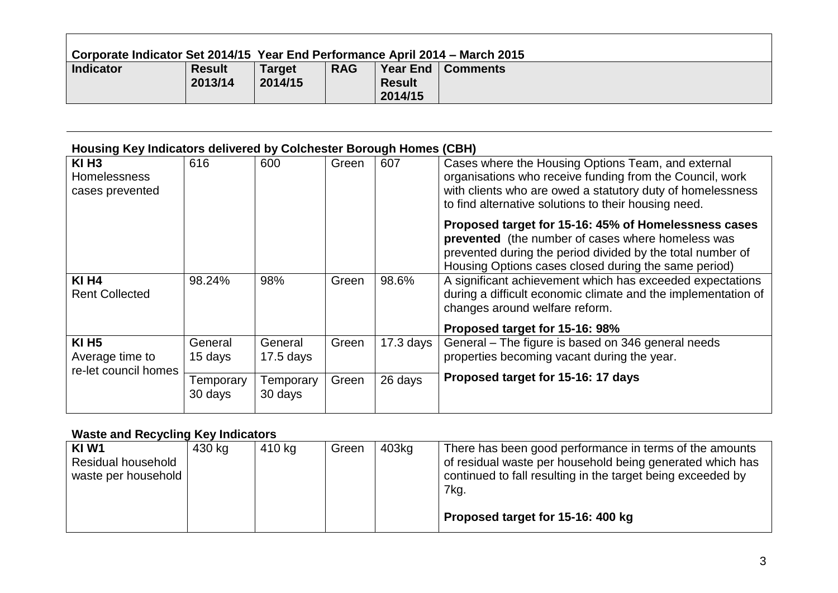| Corporate Indicator Set 2014/15 Year End Performance April 2014 – March 2015 |                          |                          |            |                          |                     |  |  |  |
|------------------------------------------------------------------------------|--------------------------|--------------------------|------------|--------------------------|---------------------|--|--|--|
| <b>Indicator</b>                                                             | <b>Result</b><br>2013/14 | <b>Target</b><br>2014/15 | <b>RAG</b> | <b>Result</b><br>2014/15 | Year End   Comments |  |  |  |

# **Housing Key Indicators delivered by Colchester Borough Homes (CBH)**

| $KI$ H <sub>3</sub><br><b>Homelessness</b><br>cases prevented | 616                  | 600                    | Green | 607         | Cases where the Housing Options Team, and external<br>organisations who receive funding from the Council, work<br>with clients who are owed a statutory duty of homelessness<br>to find alternative solutions to their housing need. |
|---------------------------------------------------------------|----------------------|------------------------|-------|-------------|--------------------------------------------------------------------------------------------------------------------------------------------------------------------------------------------------------------------------------------|
|                                                               |                      |                        |       |             | Proposed target for 15-16: 45% of Homelessness cases<br>prevented (the number of cases where homeless was<br>prevented during the period divided by the total number of<br>Housing Options cases closed during the same period)      |
| <b>KI H4</b><br><b>Rent Collected</b>                         | 98.24%               | 98%                    | Green | 98.6%       | A significant achievement which has exceeded expectations<br>during a difficult economic climate and the implementation of<br>changes around welfare reform.                                                                         |
|                                                               |                      |                        |       |             | Proposed target for 15-16: 98%                                                                                                                                                                                                       |
| <b>KI H5</b><br>Average time to<br>re-let council homes       | General<br>15 days   | General<br>$17.5$ days | Green | $17.3$ days | General – The figure is based on 346 general needs<br>properties becoming vacant during the year.                                                                                                                                    |
|                                                               | Temporary<br>30 days | Temporary<br>30 days   | Green | 26 days     | Proposed target for 15-16: 17 days                                                                                                                                                                                                   |

#### **Waste and Recycling Key Indicators**

| KIW1                      | 430 kg | 410 kg | Green | 403kg | There has been good performance in terms of the amounts     |
|---------------------------|--------|--------|-------|-------|-------------------------------------------------------------|
| <b>Residual household</b> |        |        |       |       | of residual waste per household being generated which has   |
| waste per household       |        |        |       |       | continued to fall resulting in the target being exceeded by |
|                           |        |        |       |       | 7kg.                                                        |
|                           |        |        |       |       |                                                             |
|                           |        |        |       |       |                                                             |
|                           |        |        |       |       | Proposed target for 15-16: 400 kg                           |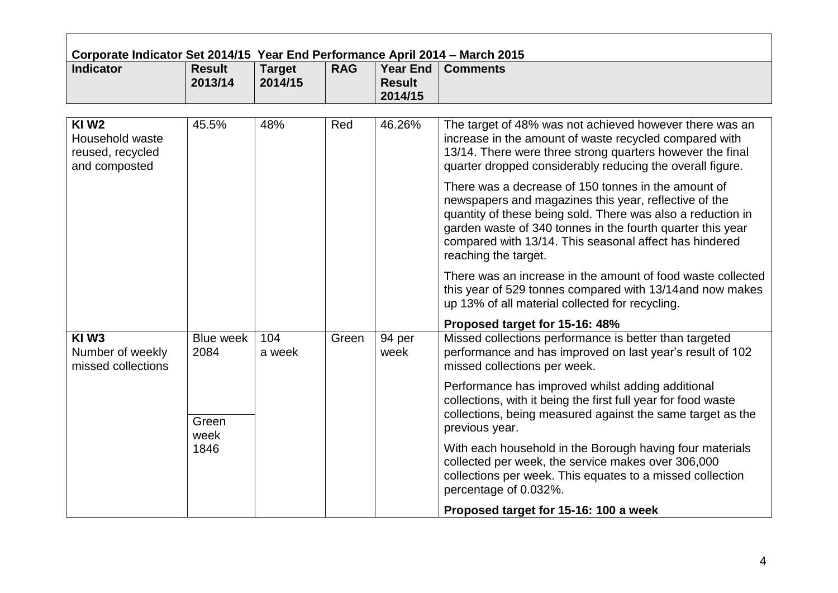| <b>Indicator</b>                                                         | <b>Result</b><br>2013/14 | <b>Target</b><br>2014/15   | <b>RAG</b> | <b>Year End</b><br><b>Result</b><br>2014/15 | <b>Comments</b>                                                                                                                                                                                                                                                                                                             |
|--------------------------------------------------------------------------|--------------------------|----------------------------|------------|---------------------------------------------|-----------------------------------------------------------------------------------------------------------------------------------------------------------------------------------------------------------------------------------------------------------------------------------------------------------------------------|
| KIW <sub>2</sub><br>Household waste<br>reused, recycled<br>and composted | 45.5%                    | 48%                        | Red        | 46.26%                                      | The target of 48% was not achieved however there was an<br>increase in the amount of waste recycled compared with<br>13/14. There were three strong quarters however the final<br>quarter dropped considerably reducing the overall figure.                                                                                 |
|                                                                          |                          |                            |            |                                             | There was a decrease of 150 tonnes in the amount of<br>newspapers and magazines this year, reflective of the<br>quantity of these being sold. There was also a reduction in<br>garden waste of 340 tonnes in the fourth quarter this year<br>compared with 13/14. This seasonal affect has hindered<br>reaching the target. |
|                                                                          |                          |                            |            |                                             | There was an increase in the amount of food waste collected<br>this year of 529 tonnes compared with 13/14 and now makes<br>up 13% of all material collected for recycling.                                                                                                                                                 |
|                                                                          |                          |                            |            |                                             | Proposed target for 15-16: 48%                                                                                                                                                                                                                                                                                              |
| KIW <sub>3</sub><br>Number of weekly<br>missed collections               | 2084                     | 104<br>Blue week<br>a week | Green      | 94 per<br>week                              | Missed collections performance is better than targeted<br>performance and has improved on last year's result of 102<br>missed collections per week.                                                                                                                                                                         |
|                                                                          | Green                    |                            |            |                                             | Performance has improved whilst adding additional<br>collections, with it being the first full year for food waste<br>collections, being measured against the same target as the                                                                                                                                            |
|                                                                          | week                     |                            |            |                                             | previous year.                                                                                                                                                                                                                                                                                                              |
|                                                                          | 1846                     |                            |            |                                             | With each household in the Borough having four materials<br>collected per week, the service makes over 306,000<br>collections per week. This equates to a missed collection<br>percentage of 0.032%.                                                                                                                        |
|                                                                          |                          |                            |            |                                             | Proposed target for 15-16: 100 a week                                                                                                                                                                                                                                                                                       |